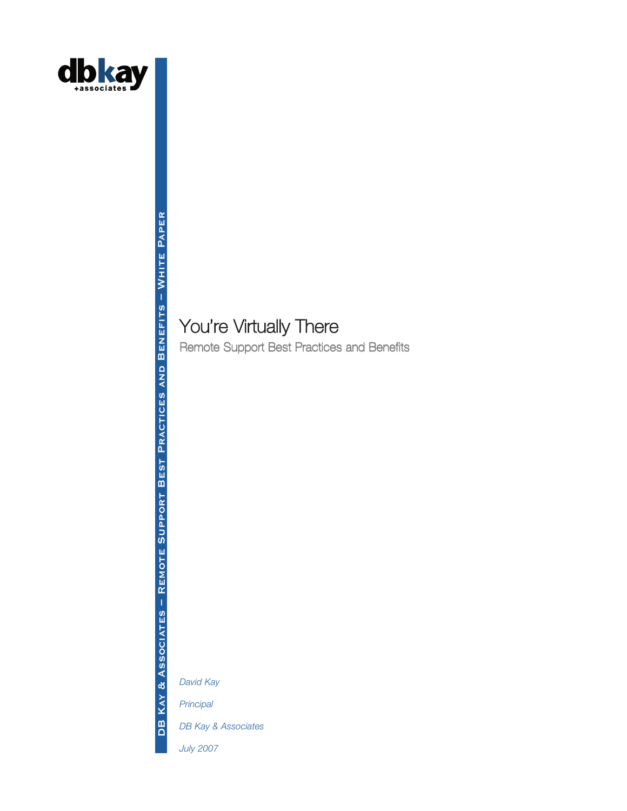

# You're Virtually There

Remote Support Best Practices and Benefits

*David Kay*

DB KAY & Associates - Remote Support Best Practices and Benefits - White Paper

KAY & ASSOCIATES - REMOTE SUPPORT BEST PRACTICES AND BENEFITS - WHITE PAPER

*Principal*

 $\overline{B}$ 

*DB Kay & Associates*

*July 2007*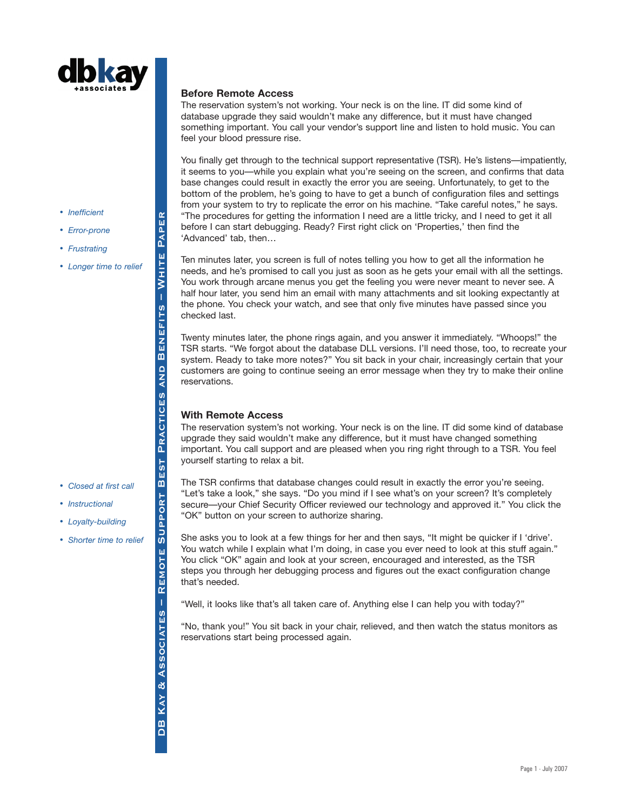

- *Inefficient*
- *Error-prone*
- *Frustrating*
- *Longer time to relief*

• *Closed at first call*

• *Instructional* • *Loyalty-building*

## **Before Remote Access**

The reservation system's not working. Your neck is on the line. IT did some kind of database upgrade they said wouldn't make any difference, but it must have changed something important. You call your vendor's support line and listen to hold music. You can feel your blood pressure rise.

You finally get through to the technical support representative (TSR). He's listens—impatiently, it seems to you—while you explain what you're seeing on the screen, and confirms that data base changes could result in exactly the error you are seeing. Unfortunately, to get to the bottom of the problem, he's going to have to get a bunch of configuration files and settings from your system to try to replicate the error on his machine. "Take careful notes," he says. "The procedures for getting the information I need are a little tricky, and I need to get it all before I can start debugging. Ready? First right click on 'Properties,' then find the 'Advanced' tab, then…

Ten minutes later, you screen is full of notes telling you how to get all the information he needs, and he's promised to call you just as soon as he gets your email with all the settings. You work through arcane menus you get the feeling you were never meant to never see. A half hour later, you send him an email with many attachments and sit looking expectantly at the phone. You check your watch, and see that only five minutes have passed since you checked last.

Twenty minutes later, the phone rings again, and you answer it immediately. "Whoops!" the TSR starts. "We forgot about the database DLL versions. I'll need those, too, to recreate your system. Ready to take more notes?" You sit back in your chair, increasingly certain that your customers are going to continue seeing an error message when they try to make their online reservations.

# **With Remote Access**

The reservation system's not working. Your neck is on the line. IT did some kind of database upgrade they said wouldn't make any difference, but it must have changed something important. You call support and are pleased when you ring right through to a TSR. You feel yourself starting to relax a bit.

The TSR confirms that database changes could result in exactly the error you're seeing. "Let's take a look," she says. "Do you mind if I see what's on your screen? It's completely secure—your Chief Security Officer reviewed our technology and approved it." You click the "OK" button on your screen to authorize sharing.

She asks you to look at a few things for her and then says, "It might be quicker if I 'drive'. You watch while I explain what I'm doing, in case you ever need to look at this stuff again." You click "OK" again and look at your screen, encouraged and interested, as the TSR steps you through her debugging process and figures out the exact configuration change that's needed.

"Well, it looks like that's all taken care of. Anything else I can help you with today?"

"No, thank you!" You sit back in your chair, relieved, and then watch the status monitors as reservations start being processed again.

**SUPPORT** • *Shorter time to relief*REMOTE & ASSOCIATES **DB KAY** 

DB KAY & Associates – Remote Support Best Practices and Benefits – White Paper

**BEST** 

**Remote Support Best Practices and Benefits – White Paper**

PRACTICES

**QNA** 

PAPER

WHITE

**BENEFITS**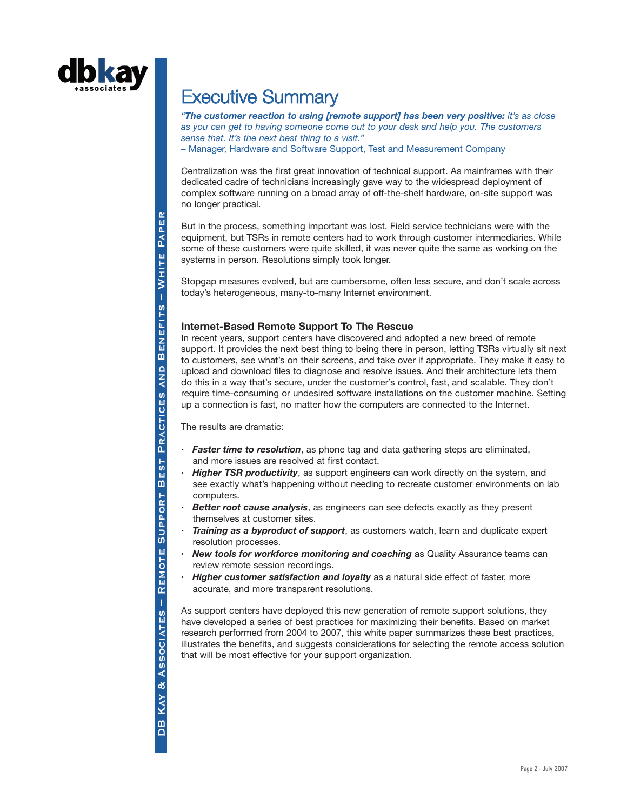

# Executive Summary

*"The customer reaction to using [remote support] has been very positive: it's as close as you can get to having someone come out to your desk and help you. The customers sense that. It's the next best thing to a visit."* – Manager, Hardware and Software Support, Test and Measurement Company

Centralization was the first great innovation of technical support. As mainframes with their dedicated cadre of technicians increasingly gave way to the widespread deployment of complex software running on a broad array of off-the-shelf hardware, on-site support was no longer practical.

But in the process, something important was lost. Field service technicians were with the equipment, but TSRs in remote centers had to work through customer intermediaries. While some of these customers were quite skilled, it was never quite the same as working on the systems in person. Resolutions simply took longer.

Stopgap measures evolved, but are cumbersome, often less secure, and don't scale across today's heterogeneous, many-to-many Internet environment.

## **Internet-Based Remote Support To The Rescue**

In recent years, support centers have discovered and adopted a new breed of remote support. It provides the next best thing to being there in person, letting TSRs virtually sit next to customers, see what's on their screens, and take over if appropriate. They make it easy to upload and download files to diagnose and resolve issues. And their architecture lets them do this in a way that's secure, under the customer's control, fast, and scalable. They don't require time-consuming or undesired software installations on the customer machine. Setting up a connection is fast, no matter how the computers are connected to the Internet.

The results are dramatic:

- **·** *Faster time to resolution*, as phone tag and data gathering steps are eliminated, and more issues are resolved at first contact.
- *Higher TSR productivity*, as support engineers can work directly on the system, and see exactly what's happening without needing to recreate customer environments on lab computers.
- **Better root cause analysis**, as engineers can see defects exactly as they present themselves at customer sites.
- **·** *Training as a byproduct of support*, as customers watch, learn and duplicate expert resolution processes.
- **New tools for workforce monitoring and coaching as Quality Assurance teams can** review remote session recordings.
- *Higher customer satisfaction and loyalty* as a natural side effect of faster, more accurate, and more transparent resolutions.

As support centers have deployed this new generation of remote support solutions, they have developed a series of best practices for maximizing their benefits. Based on market research performed from 2004 to 2007, this white paper summarizes these best practices, illustrates the benefits, and suggests considerations for selecting the remote access solution that will be most effective for your support organization.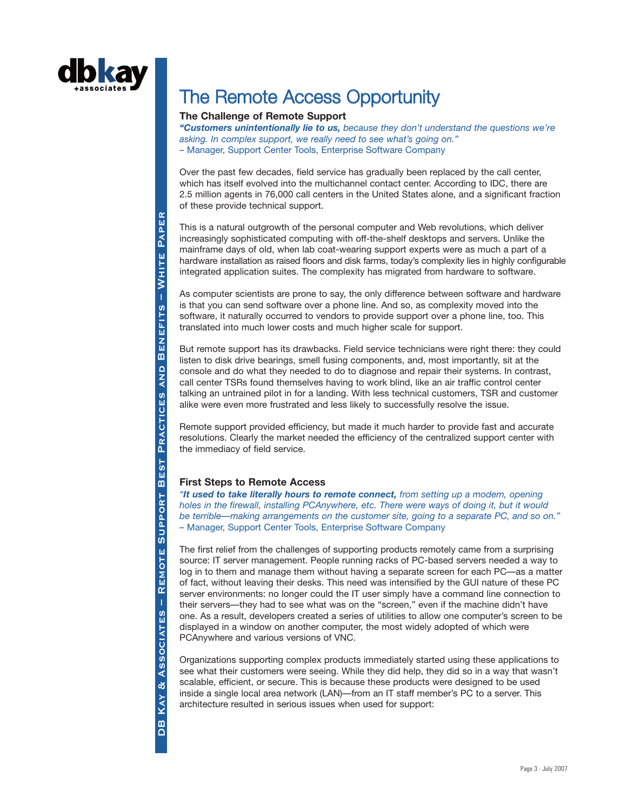

# The Remote Access Opportunity

### **The Challenge of Remote Support**

*"Customers unintentionally lie to us, because they don't understand the questions we're asking. In complex support, we really need to see what's going on."* – Manager, Support Center Tools, Enterprise Software Company

Over the past few decades, field service has gradually been replaced by the call center, which has itself evolved into the multichannel contact center. According to IDC, there are 2.5 million agents in 76,000 call centers in the United States alone, and a significant fraction of these provide technical support.

This is a natural outgrowth of the personal computer and Web revolutions, which deliver increasingly sophisticated computing with off-the-shelf desktops and servers. Unlike the mainframe days of old, when lab coat-wearing support experts were as much a part of a hardware installation as raised floors and disk farms, today's complexity lies in highly configurable integrated application suites. The complexity has migrated from hardware to software.

As computer scientists are prone to say, the only difference between software and hardware is that you can send software over a phone line. And so, as complexity moved into the software, it naturally occurred to vendors to provide support over a phone line, too. This translated into much lower costs and much higher scale for support.

But remote support has its drawbacks. Field service technicians were right there: they could listen to disk drive bearings, smell fusing components, and, most importantly, sit at the console and do what they needed to do to diagnose and repair their systems. In contrast, call center TSRs found themselves having to work blind, like an air traffic control center talking an untrained pilot in for a landing. With less technical customers, TSR and customer alike were even more frustrated and less likely to successfully resolve the issue.

Remote support provided efficiency, but made it much harder to provide fast and accurate resolutions. Clearly the market needed the efficiency of the centralized support center with the immediacy of field service.

# **First Steps to Remote Access**

*"It used to take literally hours to remote connect, from setting up a modem, opening holes in the firewall, installing PCAnywhere, etc. There were ways of doing it, but it would be terrible—making arrangements on the customer site, going to a separate PC, and so on." –* Manager, Support Center Tools, Enterprise Software Company

The first relief from the challenges of supporting products remotely came from a surprising source: IT server management. People running racks of PC-based servers needed a way to log in to them and manage them without having a separate screen for each PC—as a matter of fact, without leaving their desks. This need was intensified by the GUI nature of these PC server environments: no longer could the IT user simply have a command line connection to their servers—they had to see what was on the "screen," even if the machine didn't have one. As a result, developers created a series of utilities to allow one computer's screen to be displayed in a window on another computer, the most widely adopted of which were PCAnywhere and various versions of VNC.

Organizations supporting complex products immediately started using these applications to see what their customers were seeing. While they did help, they did so in a way that wasn't scalable, efficient, or secure. This is because these products were designed to be used inside a single local area network (LAN)—from an IT staff member's PC to a server. This architecture resulted in serious issues when used for support: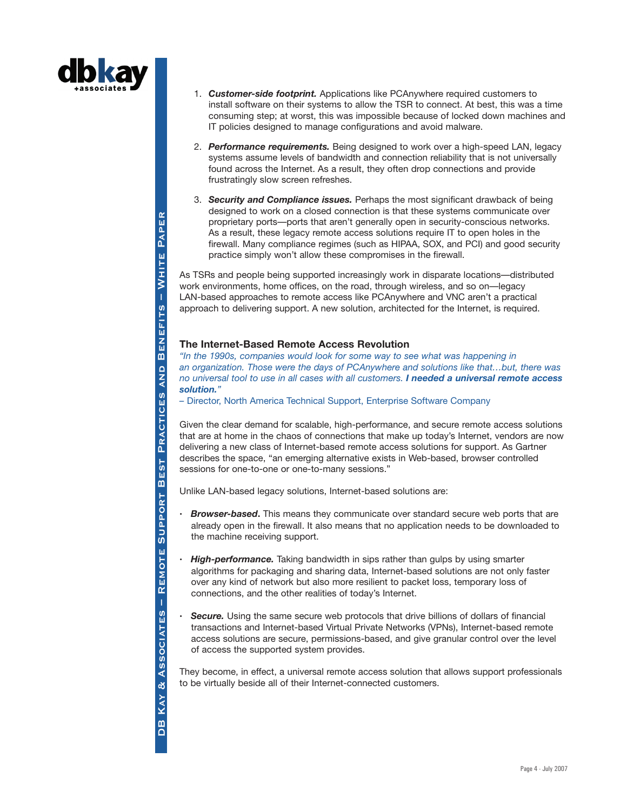

- 1. *Customer-side footprint.* Applications like PCAnywhere required customers to install software on their systems to allow the TSR to connect. At best, this was a time consuming step; at worst, this was impossible because of locked down machines and IT policies designed to manage configurations and avoid malware.
- 2. *Performance requirements.* Being designed to work over a high-speed LAN, legacy systems assume levels of bandwidth and connection reliability that is not universally found across the Internet. As a result, they often drop connections and provide frustratingly slow screen refreshes.
- 3. *Security and Compliance issues.* Perhaps the most significant drawback of being designed to work on a closed connection is that these systems communicate over proprietary ports—ports that aren't generally open in security-conscious networks. As a result, these legacy remote access solutions require IT to open holes in the firewall. Many compliance regimes (such as HIPAA, SOX, and PCI) and good security practice simply won't allow these compromises in the firewall.

As TSRs and people being supported increasingly work in disparate locations—distributed work environments, home offices, on the road, through wireless, and so on—legacy LAN-based approaches to remote access like PCAnywhere and VNC aren't a practical approach to delivering support. A new solution, architected for the Internet, is required.

### **The Internet-Based Remote Access Revolution**

*"In the 1990s, companies would look for some way to see what was happening in an organization. Those were the days of PCAnywhere and solutions like that…but, there was no universal tool to use in all cases with all customers. I needed a universal remote access solution."*

*–* Director, North America Technical Support, Enterprise Software Company

Given the clear demand for scalable, high-performance, and secure remote access solutions that are at home in the chaos of connections that make up today's Internet, vendors are now delivering a new class of Internet-based remote access solutions for support. As Gartner describes the space, "an emerging alternative exists in Web-based, browser controlled sessions for one-to-one or one-to-many sessions."

Unlike LAN-based legacy solutions, Internet-based solutions are:

- **·** *Browser-based***.** This means they communicate over standard secure web ports that are already open in the firewall. It also means that no application needs to be downloaded to the machine receiving support.
- **·** *High-performance.* Taking bandwidth in sips rather than gulps by using smarter algorithms for packaging and sharing data, Internet-based solutions are not only faster over any kind of network but also more resilient to packet loss, temporary loss of connections, and the other realities of today's Internet.
- **Secure.** Using the same secure web protocols that drive billions of dollars of financial transactions and Internet-based Virtual Private Networks (VPNs), Internet-based remote access solutions are secure, permissions-based, and give granular control over the level of access the supported system provides.

They become, in effect, a universal remote access solution that allows support professionals to be virtually beside all of their Internet-connected customers.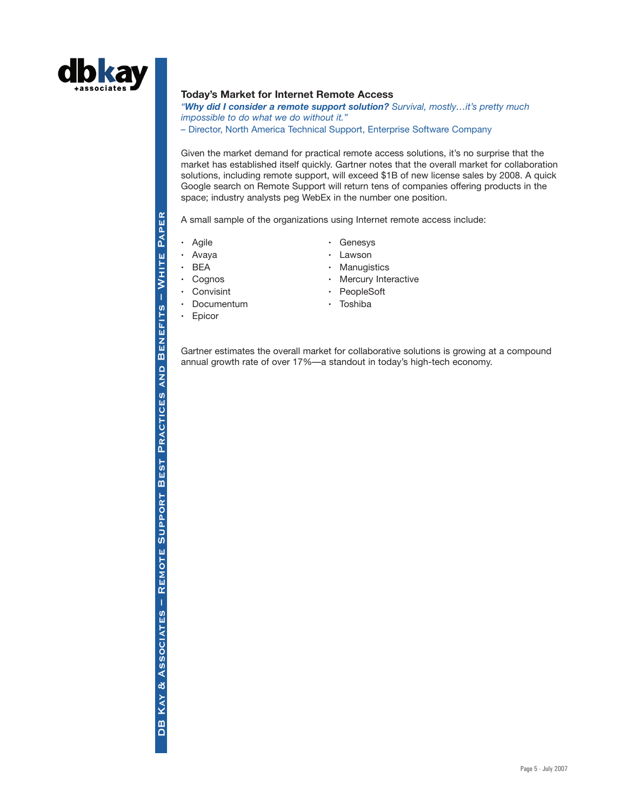

### **Today's Market for Internet Remote Access**

*"Why did I consider a remote support solution? Survival, mostly…it's pretty much impossible to do what we do without it."*

*–* Director, North America Technical Support, Enterprise Software Company

Given the market demand for practical remote access solutions, it's no surprise that the market has established itself quickly. Gartner notes that the overall market for collaboration solutions, including remote support, will exceed \$1B of new license sales by 2008. A quick Google search on Remote Support will return tens of companies offering products in the space; industry analysts peg WebEx in the number one position.

A small sample of the organizations using Internet remote access include:

- 
- 
- 
- 
- 
- **·** Documentum **·** Toshiba
- **·** Epicor
- **·** Agile **·** Genesys
- **·** Avaya **·** Lawson
- BEA **·** Manugistics
- **·** Cognos **·** Mercury Interactive
- **·** Convisint **·** PeopleSoft
	-

Gartner estimates the overall market for collaborative solutions is growing at a compound annual growth rate of over 17%—a standout in today's high-tech economy.

WHITE PAPER DB KAY & Associates – Remote Support Best Practices and Benefits – White Paper **Remote Support Best Practices and Benefits – White PaperBENEFITS** DB KAY & ASSOCIATES - REMOTE SUPPORT BEST PRACTICES AND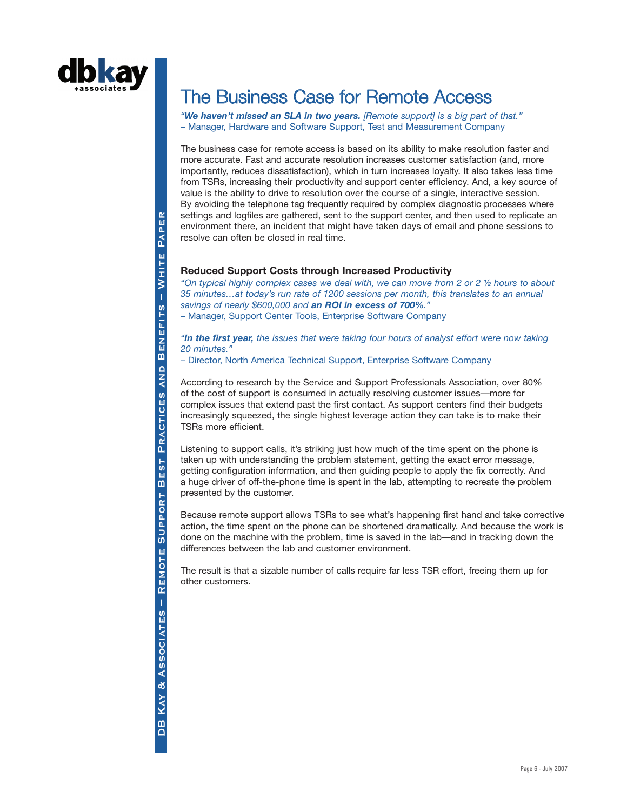

# The Business Case for Remote Access

*"We haven't missed an SLA in two years. [Remote support] is a big part of that."* – Manager, Hardware and Software Support, Test and Measurement Company

The business case for remote access is based on its ability to make resolution faster and more accurate. Fast and accurate resolution increases customer satisfaction (and, more importantly, reduces dissatisfaction), which in turn increases loyalty. It also takes less time from TSRs, increasing their productivity and support center efficiency. And, a key source of value is the ability to drive to resolution over the course of a single, interactive session. By avoiding the telephone tag frequently required by complex diagnostic processes where settings and logfiles are gathered, sent to the support center, and then used to replicate an environment there, an incident that might have taken days of email and phone sessions to resolve can often be closed in real time.

### **Reduced Support Costs through Increased Productivity**

*"On typical highly complex cases we deal with, we can move from 2 or 2 ½ hours to about 35 minutes…at today's run rate of 1200 sessions per month, this translates to an annual savings of nearly \$600,000 and an ROI in excess of 700%."* – Manager, Support Center Tools, Enterprise Software Company

*"In the first year, the issues that were taking four hours of analyst effort were now taking 20 minutes."*

– Director, North America Technical Support, Enterprise Software Company

According to research by the Service and Support Professionals Association, over 80% of the cost of support is consumed in actually resolving customer issues—more for complex issues that extend past the first contact. As support centers find their budgets increasingly squeezed, the single highest leverage action they can take is to make their TSRs more efficient.

Listening to support calls, it's striking just how much of the time spent on the phone is taken up with understanding the problem statement, getting the exact error message, getting configuration information, and then guiding people to apply the fix correctly. And a huge driver of off-the-phone time is spent in the lab, attempting to recreate the problem presented by the customer.

Because remote support allows TSRs to see what's happening first hand and take corrective action, the time spent on the phone can be shortened dramatically. And because the work is done on the machine with the problem, time is saved in the lab—and in tracking down the differences between the lab and customer environment.

The result is that a sizable number of calls require far less TSR effort, freeing them up for other customers.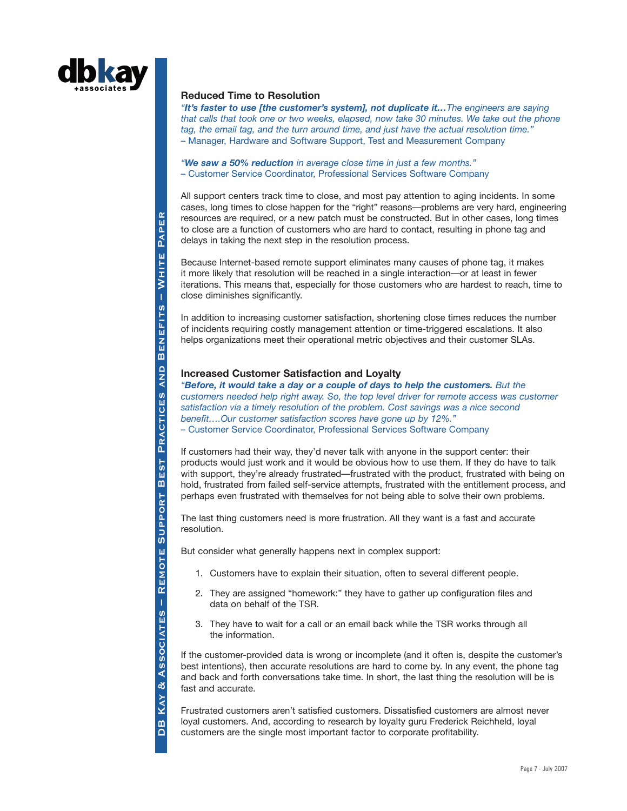

# **Reduced Time to Resolution**

*"It's faster to use [the customer's system], not duplicate it…The engineers are saying that calls that took one or two weeks, elapsed, now take 30 minutes. We take out the phone tag, the email tag, and the turn around time, and just have the actual resolution time."* – Manager, Hardware and Software Support, Test and Measurement Company

*"We saw a 50% reduction in average close time in just a few months."* – Customer Service Coordinator, Professional Services Software Company

All support centers track time to close, and most pay attention to aging incidents. In some cases, long times to close happen for the "right" reasons—problems are very hard, engineering resources are required, or a new patch must be constructed. But in other cases, long times to close are a function of customers who are hard to contact, resulting in phone tag and delays in taking the next step in the resolution process.

Because Internet-based remote support eliminates many causes of phone tag, it makes it more likely that resolution will be reached in a single interaction—or at least in fewer iterations. This means that, especially for those customers who are hardest to reach, time to close diminishes significantly.

In addition to increasing customer satisfaction, shortening close times reduces the number of incidents requiring costly management attention or time-triggered escalations. It also helps organizations meet their operational metric objectives and their customer SLAs.

## **Increased Customer Satisfaction and Loyalty**

*"Before, it would take a day or a couple of days to help the customers. But the customers needed help right away. So, the top level driver for remote access was customer satisfaction via a timely resolution of the problem. Cost savings was a nice second benefit….Our customer satisfaction scores have gone up by 12%."* – Customer Service Coordinator, Professional Services Software Company

If customers had their way, they'd never talk with anyone in the support center: their products would just work and it would be obvious how to use them. If they do have to talk with support, they're already frustrated—frustrated with the product, frustrated with being on hold, frustrated from failed self-service attempts, frustrated with the entitlement process, and perhaps even frustrated with themselves for not being able to solve their own problems.

The last thing customers need is more frustration. All they want is a fast and accurate resolution.

But consider what generally happens next in complex support:

- 1. Customers have to explain their situation, often to several different people.
- 2. They are assigned "homework:" they have to gather up configuration files and data on behalf of the TSR.
- 3. They have to wait for a call or an email back while the TSR works through all the information.

If the customer-provided data is wrong or incomplete (and it often is, despite the customer's best intentions), then accurate resolutions are hard to come by. In any event, the phone tag and back and forth conversations take time. In short, the last thing the resolution will be is fast and accurate.

Frustrated customers aren't satisfied customers. Dissatisfied customers are almost never loyal customers. And, according to research by loyalty guru Frederick Reichheld, loyal customers are the single most important factor to corporate profitability.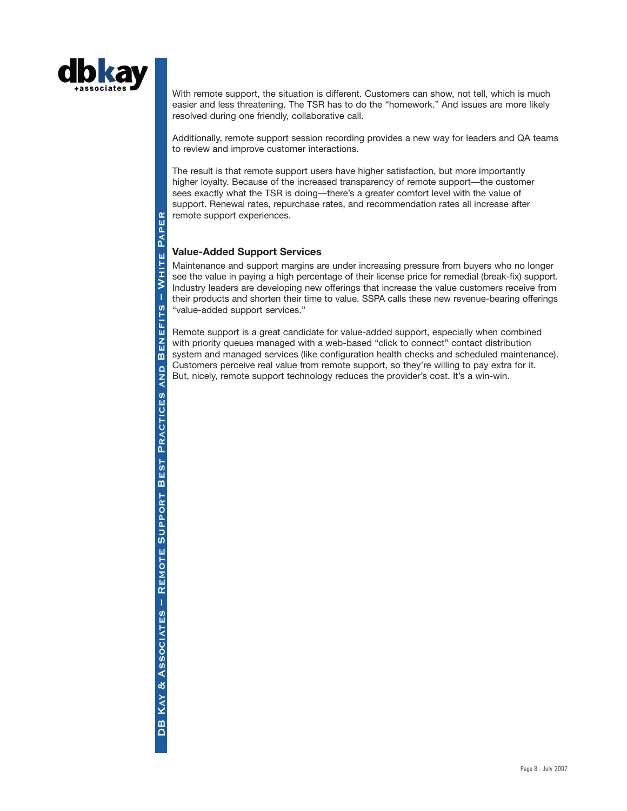

With remote support, the situation is different. Customers can show, not tell, which is much easier and less threatening. The TSR has to do the "homework." And issues are more likely resolved during one friendly, collaborative call.

Additionally, remote support session recording provides a new way for leaders and QA teams to review and improve customer interactions.

The result is that remote support users have higher satisfaction, but more importantly higher loyalty. Because of the increased transparency of remote support—the customer sees exactly what the TSR is doing—there's a greater comfort level with the value of support. Renewal rates, repurchase rates, and recommendation rates all increase after remote support experiences.

## **Value-Added Support Services**

Maintenance and support margins are under increasing pressure from buyers who no longer see the value in paying a high percentage of their license price for remedial (break-fix) support. Industry leaders are developing new offerings that increase the value customers receive from their products and shorten their time to value. SSPA calls these new revenue-bearing offerings "value-added support services."

Remote support is a great candidate for value-added support, especially when combined with priority queues managed with a web-based "click to connect" contact distribution system and managed services (like configuration health checks and scheduled maintenance). Customers perceive real value from remote support, so they're willing to pay extra for it. But, nicely, remote support technology reduces the provider's cost. It's a win-win.

DB KAY & Associates – Remote Support Best Practices and Benefits – White Paper PAPER WHITE  $\overline{1}$ **<u>in</u>** 上三四乙四  $\overline{m}$ **AND PRACTICES** REMOTE SUPPORT BEST DB KAY & ASSOCIATES -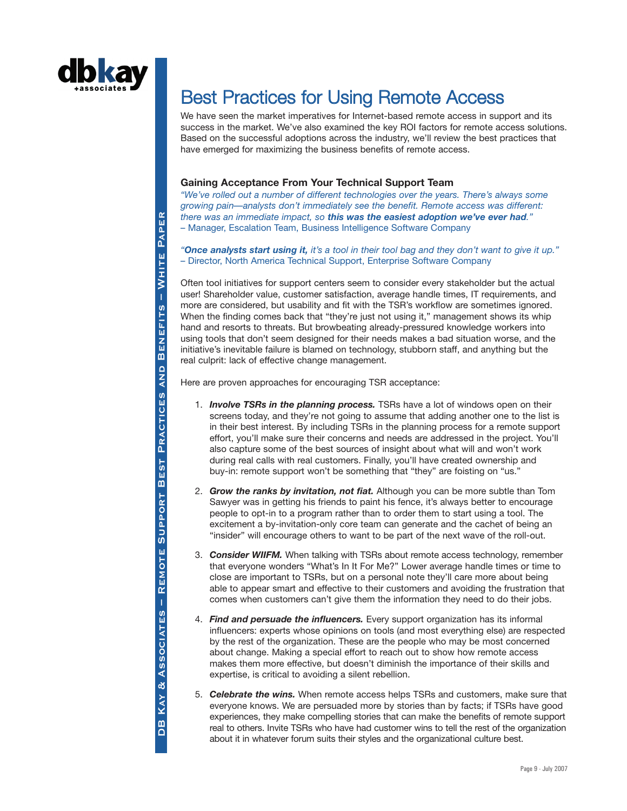

DB KAY & Associates – Remote Support Best Practices and Benefits – White Paper

REMOTE SUPPORT BEST

& ASSOCIATES -

KAY<sup>1</sup>

 $\mathbf{B}$ 

**Remote Support Best Practices and Benefits – White Paper**

PRACTICES

**QNA** 

PAPER

WHITE I

**BENEFITS** 

# Best Practices for Using Remote Access

We have seen the market imperatives for Internet-based remote access in support and its success in the market. We've also examined the key ROI factors for remote access solutions. Based on the successful adoptions across the industry, we'll review the best practices that have emerged for maximizing the business benefits of remote access.

### **Gaining Acceptance From Your Technical Support Team**

*"We've rolled out a number of different technologies over the years. There's always some growing pain—analysts don't immediately see the benefit. Remote access was different: there was an immediate impact, so this was the easiest adoption we've ever had."* – Manager, Escalation Team, Business Intelligence Software Company

*"Once analysts start using it, it's a tool in their tool bag and they don't want to give it up."* – Director, North America Technical Support, Enterprise Software Company

Often tool initiatives for support centers seem to consider every stakeholder but the actual user! Shareholder value, customer satisfaction, average handle times, IT requirements, and more are considered, but usability and fit with the TSR's workflow are sometimes ignored. When the finding comes back that "they're just not using it," management shows its whip hand and resorts to threats. But browbeating already-pressured knowledge workers into using tools that don't seem designed for their needs makes a bad situation worse, and the initiative's inevitable failure is blamed on technology, stubborn staff, and anything but the real culprit: lack of effective change management.

Here are proven approaches for encouraging TSR acceptance:

- 1. *Involve TSRs in the planning process.* TSRs have a lot of windows open on their screens today, and they're not going to assume that adding another one to the list is in their best interest. By including TSRs in the planning process for a remote support effort, you'll make sure their concerns and needs are addressed in the project. You'll also capture some of the best sources of insight about what will and won't work during real calls with real customers. Finally, you'll have created ownership and buy-in: remote support won't be something that "they" are foisting on "us."
- 2. *Grow the ranks by invitation, not fiat.* Although you can be more subtle than Tom Sawyer was in getting his friends to paint his fence, it's always better to encourage people to opt-in to a program rather than to order them to start using a tool. The excitement a by-invitation-only core team can generate and the cachet of being an "insider" will encourage others to want to be part of the next wave of the roll-out.
- 3. *Consider WIIFM.* When talking with TSRs about remote access technology, remember that everyone wonders "What's In It For Me?" Lower average handle times or time to close are important to TSRs, but on a personal note they'll care more about being able to appear smart and effective to their customers and avoiding the frustration that comes when customers can't give them the information they need to do their jobs.
- 4. *Find and persuade the influencers.* Every support organization has its informal influencers: experts whose opinions on tools (and most everything else) are respected by the rest of the organization. These are the people who may be most concerned about change. Making a special effort to reach out to show how remote access makes them more effective, but doesn't diminish the importance of their skills and expertise, is critical to avoiding a silent rebellion.
- 5. *Celebrate the wins.* When remote access helps TSRs and customers, make sure that everyone knows. We are persuaded more by stories than by facts; if TSRs have good experiences, they make compelling stories that can make the benefits of remote support real to others. Invite TSRs who have had customer wins to tell the rest of the organization about it in whatever forum suits their styles and the organizational culture best.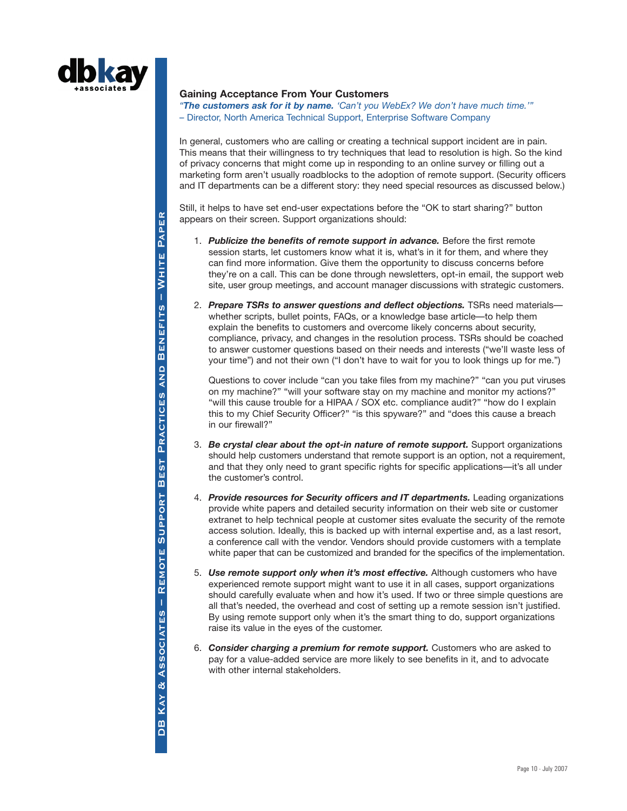

#### **Gaining Acceptance From Your Customers**

*"The customers ask for it by name. 'Can't you WebEx? We don't have much time.'"* – Director, North America Technical Support, Enterprise Software Company

In general, customers who are calling or creating a technical support incident are in pain. This means that their willingness to try techniques that lead to resolution is high. So the kind of privacy concerns that might come up in responding to an online survey or filling out a marketing form aren't usually roadblocks to the adoption of remote support. (Security officers and IT departments can be a different story: they need special resources as discussed below.)

Still, it helps to have set end-user expectations before the "OK to start sharing?" button appears on their screen. Support organizations should:

- 1. *Publicize the benefits of remote support in advance.* Before the first remote session starts, let customers know what it is, what's in it for them, and where they can find more information. Give them the opportunity to discuss concerns before they're on a call. This can be done through newsletters, opt-in email, the support web site, user group meetings, and account manager discussions with strategic customers.
- 2. *Prepare TSRs to answer questions and deflect objections.* TSRs need materials whether scripts, bullet points, FAQs, or a knowledge base article—to help them explain the benefits to customers and overcome likely concerns about security, compliance, privacy, and changes in the resolution process. TSRs should be coached to answer customer questions based on their needs and interests ("we'll waste less of your time") and not their own ("I don't have to wait for you to look things up for me.")

Questions to cover include "can you take files from my machine?" "can you put viruses on my machine?" "will your software stay on my machine and monitor my actions?" "will this cause trouble for a HIPAA / SOX etc. compliance audit?" "how do I explain this to my Chief Security Officer?" "is this spyware?" and "does this cause a breach in our firewall?"

- 3. *Be crystal clear about the opt-in nature of remote support.* Support organizations should help customers understand that remote support is an option, not a requirement, and that they only need to grant specific rights for specific applications—it's all under the customer's control.
- 4. *Provide resources for Security officers and IT departments.* Leading organizations provide white papers and detailed security information on their web site or customer extranet to help technical people at customer sites evaluate the security of the remote access solution. Ideally, this is backed up with internal expertise and, as a last resort, a conference call with the vendor. Vendors should provide customers with a template white paper that can be customized and branded for the specifics of the implementation.
- 5. *Use remote support only when it's most effective.* Although customers who have experienced remote support might want to use it in all cases, support organizations should carefully evaluate when and how it's used. If two or three simple questions are all that's needed, the overhead and cost of setting up a remote session isn't justified. By using remote support only when it's the smart thing to do, support organizations raise its value in the eyes of the customer.
- 6. *Consider charging a premium for remote support.* Customers who are asked to pay for a value-added service are more likely to see benefits in it, and to advocate with other internal stakeholders.

DB KAY & Associates – Remote Support Best Practices and Benefits – White Paper PAPER  $-WHITE$ **BENEFITS** PRACTICES AND REMOTE SUPPORT BEST & ASSOCIATES -**KAY** DB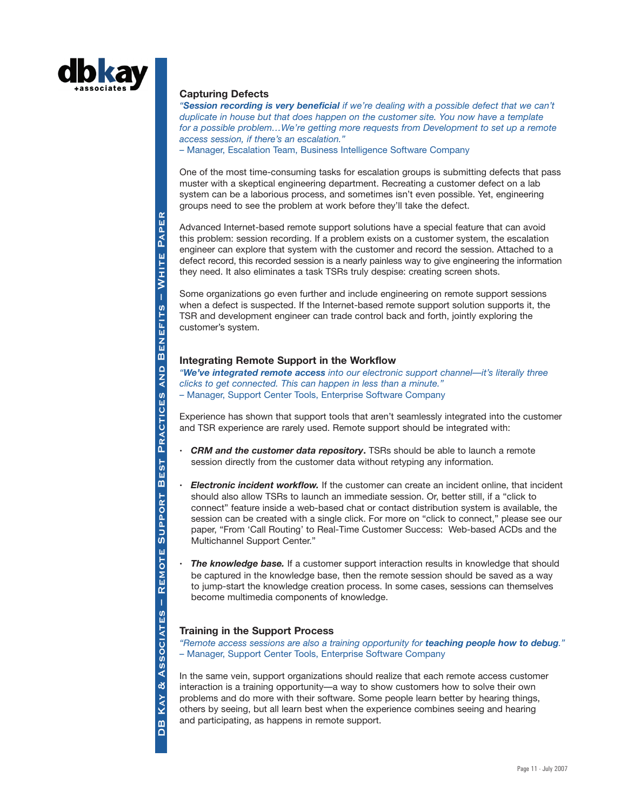

#### **Capturing Defects**

*"Session recording is very beneficial if we're dealing with a possible defect that we can't duplicate in house but that does happen on the customer site. You now have a template for a possible problem…We're getting more requests from Development to set up a remote access session, if there's an escalation."*

– Manager, Escalation Team, Business Intelligence Software Company

One of the most time-consuming tasks for escalation groups is submitting defects that pass muster with a skeptical engineering department. Recreating a customer defect on a lab system can be a laborious process, and sometimes isn't even possible. Yet, engineering groups need to see the problem at work before they'll take the defect.

Advanced Internet-based remote support solutions have a special feature that can avoid this problem: session recording. If a problem exists on a customer system, the escalation engineer can explore that system with the customer and record the session. Attached to a defect record, this recorded session is a nearly painless way to give engineering the information they need. It also eliminates a task TSRs truly despise: creating screen shots.

Some organizations go even further and include engineering on remote support sessions when a defect is suspected. If the Internet-based remote support solution supports it, the TSR and development engineer can trade control back and forth, jointly exploring the customer's system.

### **Integrating Remote Support in the Workflow**

*"We've integrated remote access into our electronic support channel—it's literally three clicks to get connected. This can happen in less than a minute."* – Manager, Support Center Tools, Enterprise Software Company

Experience has shown that support tools that aren't seamlessly integrated into the customer and TSR experience are rarely used. Remote support should be integrated with:

- **·** *CRM and the customer data repository***.** TSRs should be able to launch a remote session directly from the customer data without retyping any information.
- **·** *Electronic incident workflow.* If the customer can create an incident online, that incident should also allow TSRs to launch an immediate session. Or, better still, if a "click to connect" feature inside a web-based chat or contact distribution system is available, the session can be created with a single click. For more on "click to connect," please see our paper, "From 'Call Routing' to Real-Time Customer Success: Web-based ACDs and the Multichannel Support Center."
- **The knowledge base.** If a customer support interaction results in knowledge that should be captured in the knowledge base, then the remote session should be saved as a way to jump-start the knowledge creation process. In some cases, sessions can themselves become multimedia components of knowledge.

## **Training in the Support Process**

*"Remote access sessions are also a training opportunity for teaching people how to debug."* – Manager, Support Center Tools, Enterprise Software Company

In the same vein, support organizations should realize that each remote access customer interaction is a training opportunity—a way to show customers how to solve their own problems and do more with their software. Some people learn better by hearing things, others by seeing, but all learn best when the experience combines seeing and hearing and participating, as happens in remote support.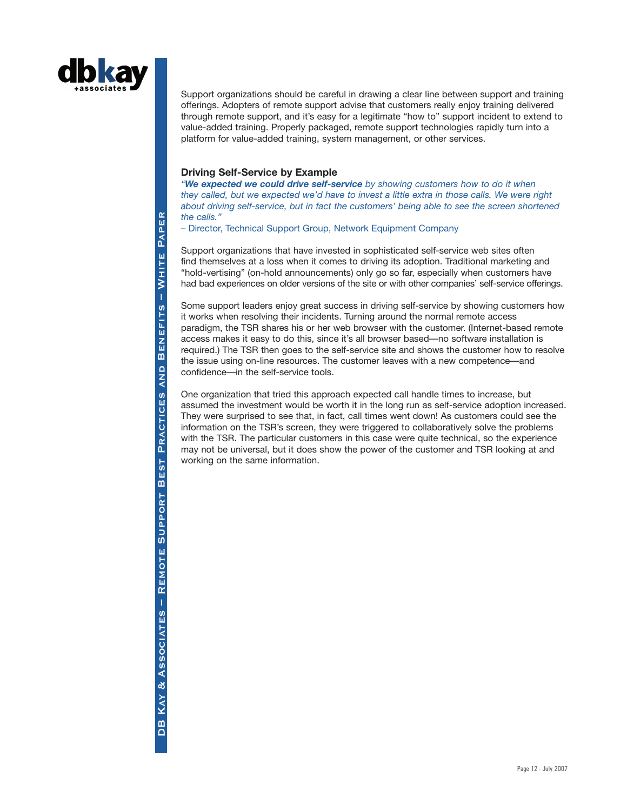

Support organizations should be careful in drawing a clear line between support and training offerings. Adopters of remote support advise that customers really enjoy training delivered through remote support, and it's easy for a legitimate "how to" support incident to extend to value-added training. Properly packaged, remote support technologies rapidly turn into a platform for value-added training, system management, or other services.

### **Driving Self-Service by Example**

*"We expected we could drive self-service by showing customers how to do it when they called, but we expected we'd have to invest a little extra in those calls. We were right about driving self-service, but in fact the customers' being able to see the screen shortened the calls."*

– Director, Technical Support Group, Network Equipment Company

Support organizations that have invested in sophisticated self-service web sites often find themselves at a loss when it comes to driving its adoption. Traditional marketing and "hold-vertising" (on-hold announcements) only go so far, especially when customers have had bad experiences on older versions of the site or with other companies' self-service offerings.

Some support leaders enjoy great success in driving self-service by showing customers how it works when resolving their incidents. Turning around the normal remote access paradigm, the TSR shares his or her web browser with the customer. (Internet-based remote access makes it easy to do this, since it's all browser based—no software installation is required.) The TSR then goes to the self-service site and shows the customer how to resolve the issue using on-line resources. The customer leaves with a new competence—and confidence—in the self-service tools.

One organization that tried this approach expected call handle times to increase, but assumed the investment would be worth it in the long run as self-service adoption increased. They were surprised to see that, in fact, call times went down! As customers could see the information on the TSR's screen, they were triggered to collaboratively solve the problems with the TSR. The particular customers in this case were quite technical, so the experience may not be universal, but it does show the power of the customer and TSR looking at and working on the same information.

PAPER DB KAY & Associates – Remote Support Best Practices and Benefits – White Paper **Remote Support Best Practices and Benefits – White Paper**WHITE **BENEFITS**  $\frac{D}{4}$ PRACTICES **BEST** REMOTE SUPPORT & ASSOCIATES -**KAY**  $\frac{1}{2}$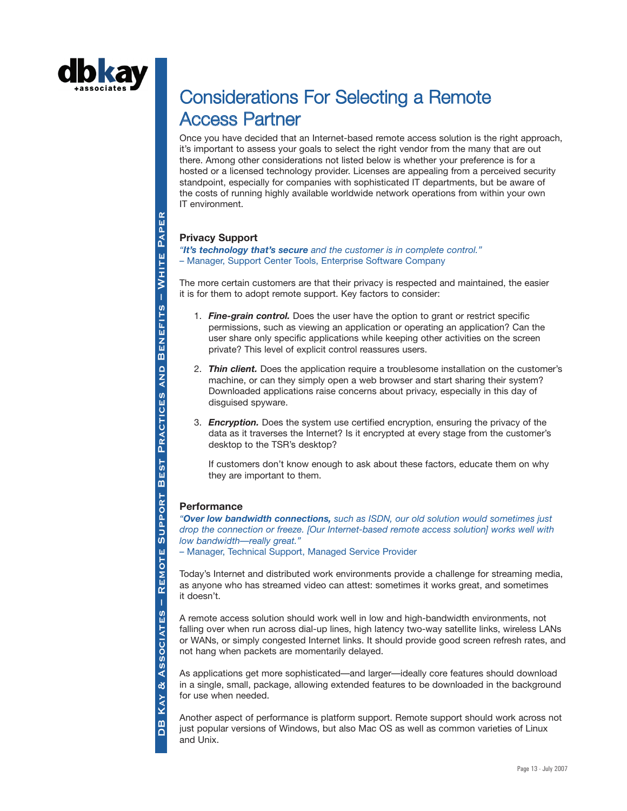

# Considerations For Selecting a Remote Access Partner

Once you have decided that an Internet-based remote access solution is the right approach, it's important to assess your goals to select the right vendor from the many that are out there. Among other considerations not listed below is whether your preference is for a hosted or a licensed technology provider. Licenses are appealing from a perceived security standpoint, especially for companies with sophisticated IT departments, but be aware of the costs of running highly available worldwide network operations from within your own IT environment.

## **Privacy Support**

*"It's technology that's secure and the customer is in complete control."* – Manager, Support Center Tools, Enterprise Software Company

The more certain customers are that their privacy is respected and maintained, the easier it is for them to adopt remote support. Key factors to consider:

- 1. *Fine-grain control.* Does the user have the option to grant or restrict specific permissions, such as viewing an application or operating an application? Can the user share only specific applications while keeping other activities on the screen private? This level of explicit control reassures users.
- 2. *Thin client.* Does the application require a troublesome installation on the customer's machine, or can they simply open a web browser and start sharing their system? Downloaded applications raise concerns about privacy, especially in this day of disguised spyware.
- 3. *Encryption.* Does the system use certified encryption, ensuring the privacy of the data as it traverses the Internet? Is it encrypted at every stage from the customer's desktop to the TSR's desktop?

If customers don't know enough to ask about these factors, educate them on why they are important to them.

## **Performance**

DB KAY & Associates – Remote Support Best Practices and Benefits – White Paper

**BEST** 

**SUPPORT** 

REMOTE

ASSOCIATES

 $\alpha$ KAY

 $\boxed{\mathbf{B}}$ 

**Remote Support Best Practices and Benefits – White Paper**

PRACTICES

**QNA** 

PAPER

WHITE

**BENEFITS** 

*"Over low bandwidth connections, such as ISDN, our old solution would sometimes just drop the connection or freeze. [Our Internet-based remote access solution] works well with low bandwidth—really great."*

– Manager, Technical Support, Managed Service Provider

Today's Internet and distributed work environments provide a challenge for streaming media, as anyone who has streamed video can attest: sometimes it works great, and sometimes it doesn't.

A remote access solution should work well in low and high-bandwidth environments, not falling over when run across dial-up lines, high latency two-way satellite links, wireless LANs or WANs, or simply congested Internet links. It should provide good screen refresh rates, and not hang when packets are momentarily delayed.

As applications get more sophisticated—and larger—ideally core features should download in a single, small, package, allowing extended features to be downloaded in the background for use when needed.

Another aspect of performance is platform support. Remote support should work across not just popular versions of Windows, but also Mac OS as well as common varieties of Linux and Unix.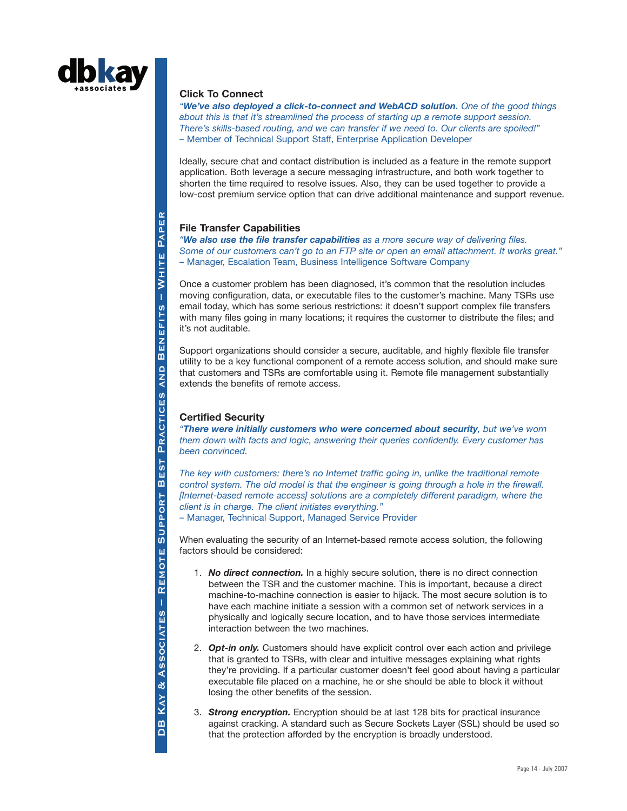

#### **Click To Connect**

*"We've also deployed a click-to-connect and WebACD solution. One of the good things about this is that it's streamlined the process of starting up a remote support session. There's skills-based routing, and we can transfer if we need to. Our clients are spoiled!"* – Member of Technical Support Staff, Enterprise Application Developer

Ideally, secure chat and contact distribution is included as a feature in the remote support application. Both leverage a secure messaging infrastructure, and both work together to shorten the time required to resolve issues. Also, they can be used together to provide a low-cost premium service option that can drive additional maintenance and support revenue.

## **File Transfer Capabilities**

*"We also use the file transfer capabilities as a more secure way of delivering files. Some of our customers can't go to an FTP site or open an email attachment. It works great."* – Manager, Escalation Team, Business Intelligence Software Company

Once a customer problem has been diagnosed, it's common that the resolution includes moving configuration, data, or executable files to the customer's machine. Many TSRs use email today, which has some serious restrictions: it doesn't support complex file transfers with many files going in many locations; it requires the customer to distribute the files; and it's not auditable.

Support organizations should consider a secure, auditable, and highly flexible file transfer utility to be a key functional component of a remote access solution, and should make sure that customers and TSRs are comfortable using it. Remote file management substantially extends the benefits of remote access.

# **Certified Security**

*"There were initially customers who were concerned about security, but we've worn them down with facts and logic, answering their queries confidently. Every customer has been convinced.*

*The key with customers: there's no Internet traffic going in, unlike the traditional remote control system. The old model is that the engineer is going through a hole in the firewall. [Internet-based remote access] solutions are a completely different paradigm, where the client is in charge. The client initiates everything."*

– Manager, Technical Support, Managed Service Provider

When evaluating the security of an Internet-based remote access solution, the following factors should be considered:

- 1. *No direct connection.* In a highly secure solution, there is no direct connection between the TSR and the customer machine. This is important, because a direct machine-to-machine connection is easier to hijack. The most secure solution is to have each machine initiate a session with a common set of network services in a physically and logically secure location, and to have those services intermediate interaction between the two machines.
- 2. *Opt-in only.* Customers should have explicit control over each action and privilege that is granted to TSRs, with clear and intuitive messages explaining what rights they're providing. If a particular customer doesn't feel good about having a particular executable file placed on a machine, he or she should be able to block it without losing the other benefits of the session.
- 3. *Strong encryption.* Encryption should be at last 128 bits for practical insurance against cracking. A standard such as Secure Sockets Layer (SSL) should be used so that the protection afforded by the encryption is broadly understood.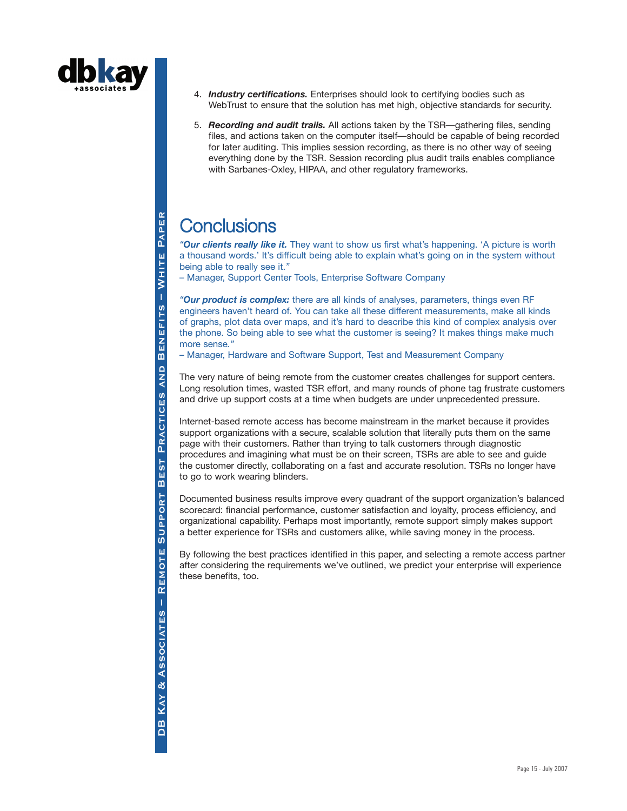

- 4. *Industry certifications.* Enterprises should look to certifying bodies such as WebTrust to ensure that the solution has met high, objective standards for security.
- 5. *Recording and audit trails.* All actions taken by the TSR—gathering files, sending files, and actions taken on the computer itself—should be capable of being recorded for later auditing. This implies session recording, as there is no other way of seeing everything done by the TSR. Session recording plus audit trails enables compliance with Sarbanes-Oxley, HIPAA, and other regulatory frameworks.

# **Conclusions**

*"Our clients really like it.* They want to show us first what's happening. 'A picture is worth a thousand words.' It's difficult being able to explain what's going on in the system without being able to really see it.*"*

– Manager, Support Center Tools, Enterprise Software Company

*"Our product is complex:* there are all kinds of analyses, parameters, things even RF engineers haven't heard of. You can take all these different measurements, make all kinds of graphs, plot data over maps, and it's hard to describe this kind of complex analysis over the phone. So being able to see what the customer is seeing? It makes things make much more sense*."*

– Manager, Hardware and Software Support, Test and Measurement Company

The very nature of being remote from the customer creates challenges for support centers. Long resolution times, wasted TSR effort, and many rounds of phone tag frustrate customers and drive up support costs at a time when budgets are under unprecedented pressure.

Internet-based remote access has become mainstream in the market because it provides support organizations with a secure, scalable solution that literally puts them on the same page with their customers. Rather than trying to talk customers through diagnostic procedures and imagining what must be on their screen, TSRs are able to see and guide the customer directly, collaborating on a fast and accurate resolution. TSRs no longer have to go to work wearing blinders.

Documented business results improve every quadrant of the support organization's balanced scorecard: financial performance, customer satisfaction and loyalty, process efficiency, and organizational capability. Perhaps most importantly, remote support simply makes support a better experience for TSRs and customers alike, while saving money in the process.

By following the best practices identified in this paper, and selecting a remote access partner after considering the requirements we've outlined, we predict your enterprise will experience these benefits, too.